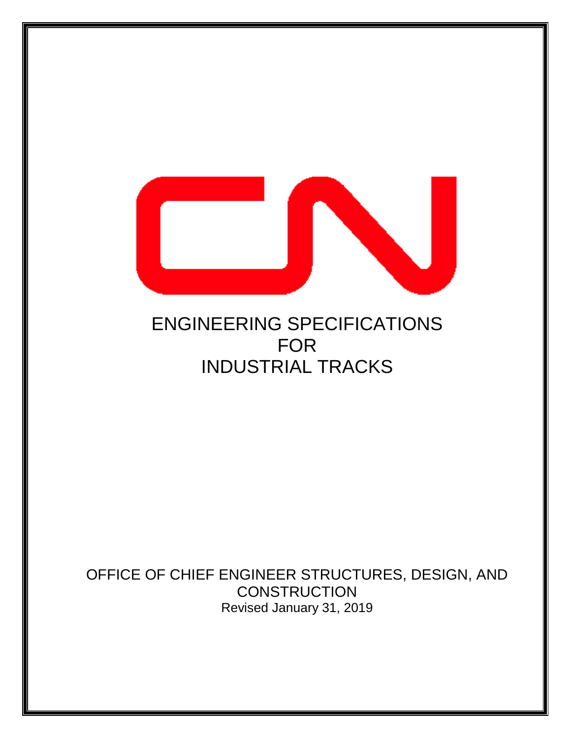

# ENGINEERING SPECIFICATIONS FOR INDUSTRIAL TRACKS

OFFICE OF CHIEF ENGINEER STRUCTURES, DESIGN, AND **CONSTRUCTION** Revised January 31, 2019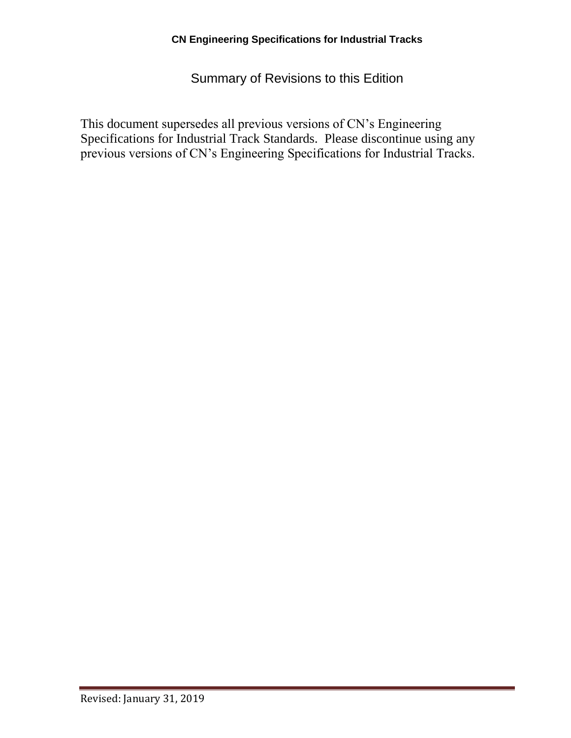Summary of Revisions to this Edition

This document supersedes all previous versions of CN's Engineering Specifications for Industrial Track Standards. Please discontinue using any previous versions of CN's Engineering Specifications for Industrial Tracks.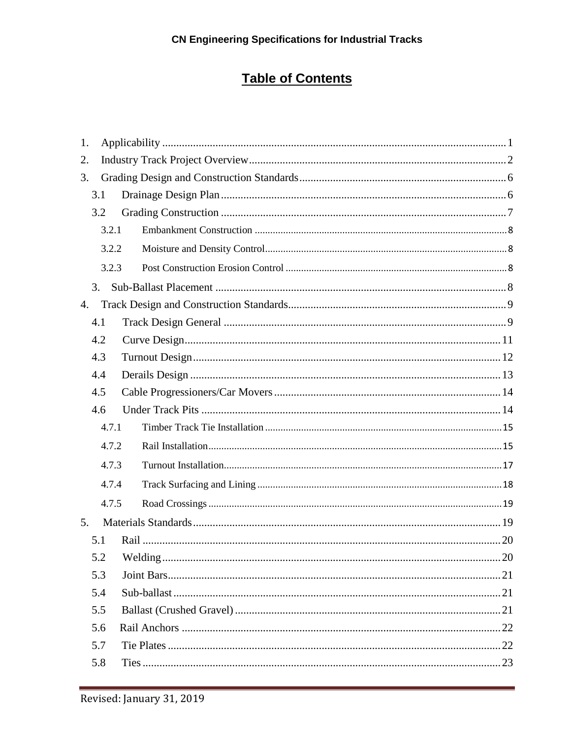# **Table of Contents**

| 1. |       |  |  |
|----|-------|--|--|
| 2. |       |  |  |
| 3. |       |  |  |
|    | 3.1   |  |  |
|    | 3.2   |  |  |
|    | 3.2.1 |  |  |
|    | 3.2.2 |  |  |
|    | 3.2.3 |  |  |
|    | 3.    |  |  |
| 4. |       |  |  |
|    | 4.1   |  |  |
|    | 4.2   |  |  |
|    | 4.3   |  |  |
|    | 4.4   |  |  |
|    | 4.5   |  |  |
|    | 4.6   |  |  |
|    | 4.7.1 |  |  |
|    | 4.7.2 |  |  |
|    | 4.7.3 |  |  |
|    | 4.7.4 |  |  |
|    | 4.7.5 |  |  |
| 5. |       |  |  |
|    | 5.1   |  |  |
|    | 5.2   |  |  |
|    | 5.3   |  |  |
|    | 5.4   |  |  |
|    | 5.5   |  |  |
|    | 5.6   |  |  |
|    | 5.7   |  |  |
|    | 5.8   |  |  |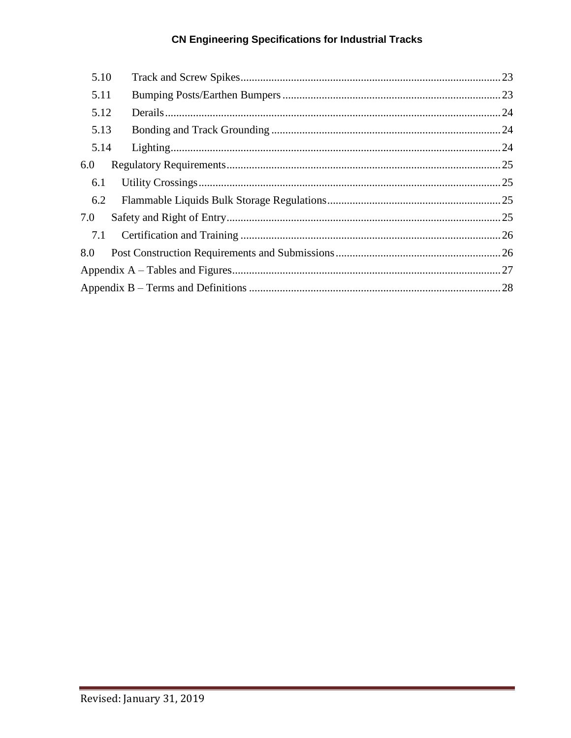# **CN Engineering Specifications for Industrial Tracks**

| 5.10 |  |
|------|--|
| 5.11 |  |
| 5.12 |  |
| 5.13 |  |
| 5.14 |  |
| 6.0  |  |
| 6.1  |  |
| 6.2  |  |
| 7.0  |  |
| 7.1  |  |
| 8.0  |  |
|      |  |
|      |  |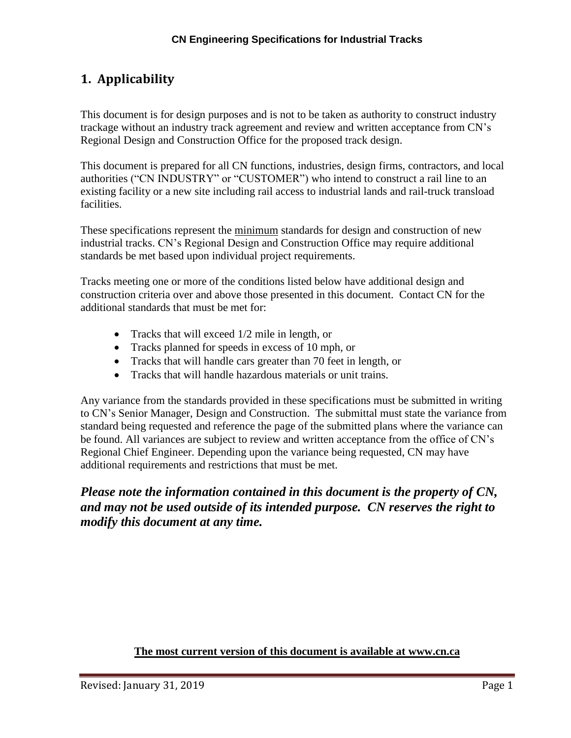# <span id="page-4-0"></span>**1. Applicability**

This document is for design purposes and is not to be taken as authority to construct industry trackage without an industry track agreement and review and written acceptance from CN's Regional Design and Construction Office for the proposed track design.

This document is prepared for all CN functions, industries, design firms, contractors, and local authorities ("CN INDUSTRY" or "CUSTOMER") who intend to construct a rail line to an existing facility or a new site including rail access to industrial lands and rail-truck transload facilities.

These specifications represent the minimum standards for design and construction of new industrial tracks. CN's Regional Design and Construction Office may require additional standards be met based upon individual project requirements.

Tracks meeting one or more of the conditions listed below have additional design and construction criteria over and above those presented in this document. Contact CN for the additional standards that must be met for:

- Tracks that will exceed  $1/2$  mile in length, or
- Tracks planned for speeds in excess of 10 mph, or
- Tracks that will handle cars greater than 70 feet in length, or
- Tracks that will handle hazardous materials or unit trains.

Any variance from the standards provided in these specifications must be submitted in writing to CN's Senior Manager, Design and Construction. The submittal must state the variance from standard being requested and reference the page of the submitted plans where the variance can be found. All variances are subject to review and written acceptance from the office of CN's Regional Chief Engineer. Depending upon the variance being requested, CN may have additional requirements and restrictions that must be met.

### *Please note the information contained in this document is the property of CN, and may not be used outside of its intended purpose. CN reserves the right to modify this document at any time.*

#### **The most current version of this document is available at [www.cn.ca](http://www.cn.ca/)**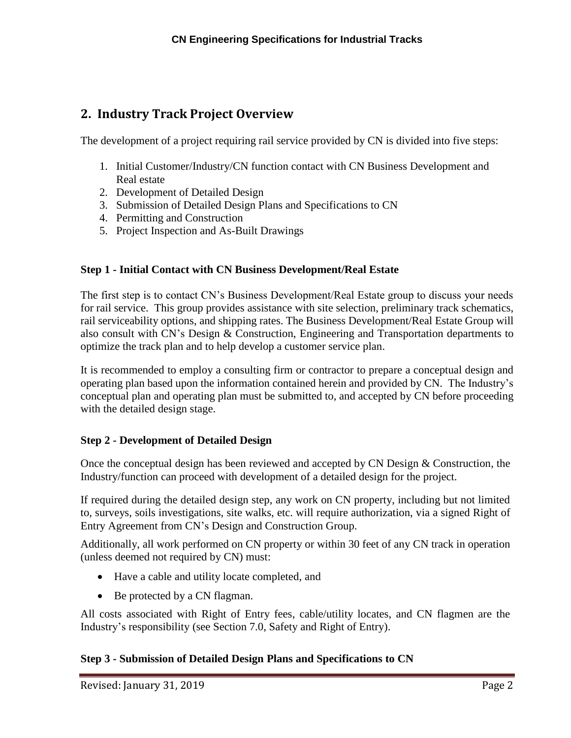# <span id="page-5-0"></span>**2. Industry Track Project Overview**

The development of a project requiring rail service provided by CN is divided into five steps:

- 1. Initial Customer/Industry/CN function contact with CN Business Development and Real estate
- 2. Development of Detailed Design
- 3. Submission of Detailed Design Plans and Specifications to CN
- 4. Permitting and Construction
- 5. Project Inspection and As-Built Drawings

#### **Step 1 - Initial Contact with CN Business Development/Real Estate**

The first step is to contact CN's Business Development/Real Estate group to discuss your needs for rail service. This group provides assistance with site selection, preliminary track schematics, rail serviceability options, and shipping rates. The Business Development/Real Estate Group will also consult with CN's Design & Construction, Engineering and Transportation departments to optimize the track plan and to help develop a customer service plan.

It is recommended to employ a consulting firm or contractor to prepare a conceptual design and operating plan based upon the information contained herein and provided by CN. The Industry's conceptual plan and operating plan must be submitted to, and accepted by CN before proceeding with the detailed design stage.

#### **Step 2 - Development of Detailed Design**

Once the conceptual design has been reviewed and accepted by CN Design & Construction, the Industry/function can proceed with development of a detailed design for the project.

If required during the detailed design step, any work on CN property, including but not limited to, surveys, soils investigations, site walks, etc. will require authorization, via a signed Right of Entry Agreement from CN's Design and Construction Group.

Additionally, all work performed on CN property or within 30 feet of any CN track in operation (unless deemed not required by CN) must:

- Have a cable and utility locate completed, and
- Be protected by a CN flagman.

All costs associated with Right of Entry fees, cable/utility locates, and CN flagmen are the Industry's responsibility (see Section 7.0, Safety and Right of Entry).

#### **Step 3 - Submission of Detailed Design Plans and Specifications to CN**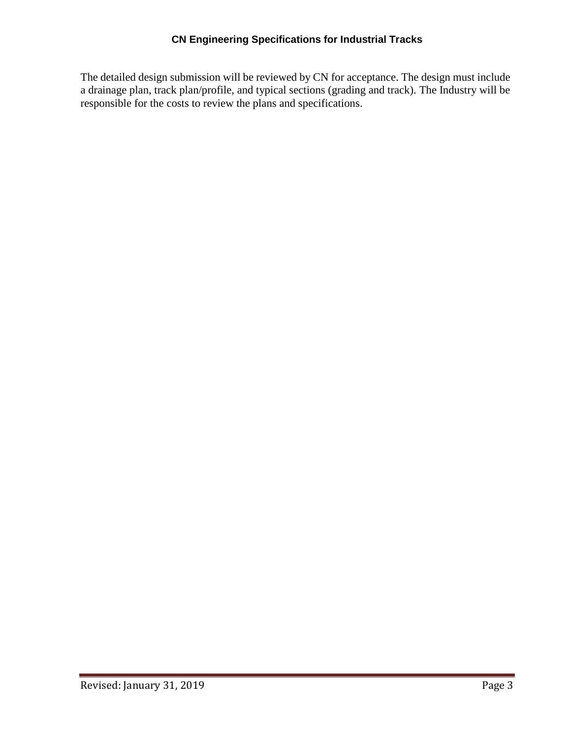The detailed design submission will be reviewed by CN for acceptance. The design must include a drainage plan, track plan/profile, and typical sections (grading and track). The Industry will be responsible for the costs to review the plans and specifications.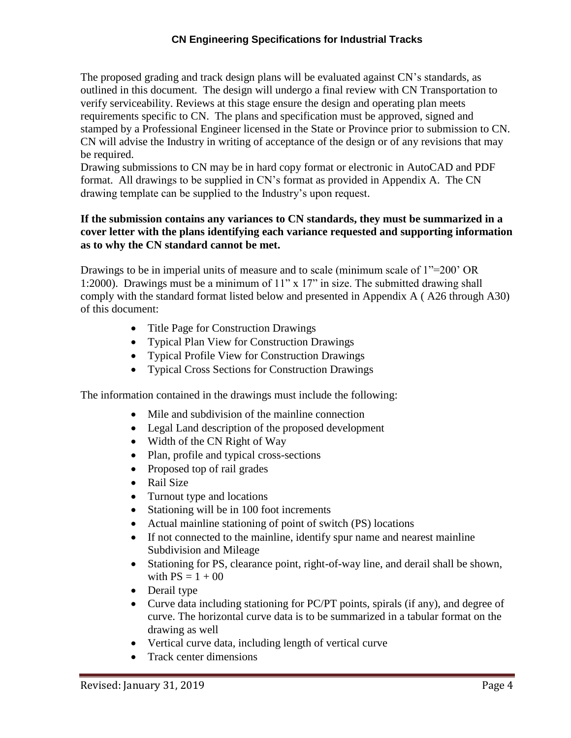#### **CN Engineering Specifications for Industrial Tracks**

The proposed grading and track design plans will be evaluated against CN's standards, as outlined in this document. The design will undergo a final review with CN Transportation to verify serviceability. Reviews at this stage ensure the design and operating plan meets requirements specific to CN. The plans and specification must be approved, signed and stamped by a Professional Engineer licensed in the State or Province prior to submission to CN. CN will advise the Industry in writing of acceptance of the design or of any revisions that may be required.

Drawing submissions to CN may be in hard copy format or electronic in AutoCAD and PDF format. All drawings to be supplied in CN's format as provided in Appendix A. The CN drawing template can be supplied to the Industry's upon request.

#### **If the submission contains any variances to CN standards, they must be summarized in a cover letter with the plans identifying each variance requested and supporting information as to why the CN standard cannot be met.**

Drawings to be in imperial units of measure and to scale (minimum scale of 1"=200' OR 1:2000). Drawings must be a minimum of 11" x 17" in size. The submitted drawing shall comply with the standard format listed below and presented in Appendix A ( A26 through A30) of this document:

- Title Page for Construction Drawings
- Typical Plan View for Construction Drawings
- Typical Profile View for Construction Drawings
- Typical Cross Sections for Construction Drawings

The information contained in the drawings must include the following:

- Mile and subdivision of the mainline connection
- Legal Land description of the proposed development
- Width of the CN Right of Way
- Plan, profile and typical cross-sections
- Proposed top of rail grades
- Rail Size
- Turnout type and locations
- Stationing will be in 100 foot increments
- Actual mainline stationing of point of switch (PS) locations
- If not connected to the mainline, identify spur name and nearest mainline Subdivision and Mileage
- Stationing for PS, clearance point, right-of-way line, and derail shall be shown, with  $PS = 1 + 00$
- Derail type
- Curve data including stationing for PC/PT points, spirals (if any), and degree of curve. The horizontal curve data is to be summarized in a tabular format on the drawing as well
- Vertical curve data, including length of vertical curve
- Track center dimensions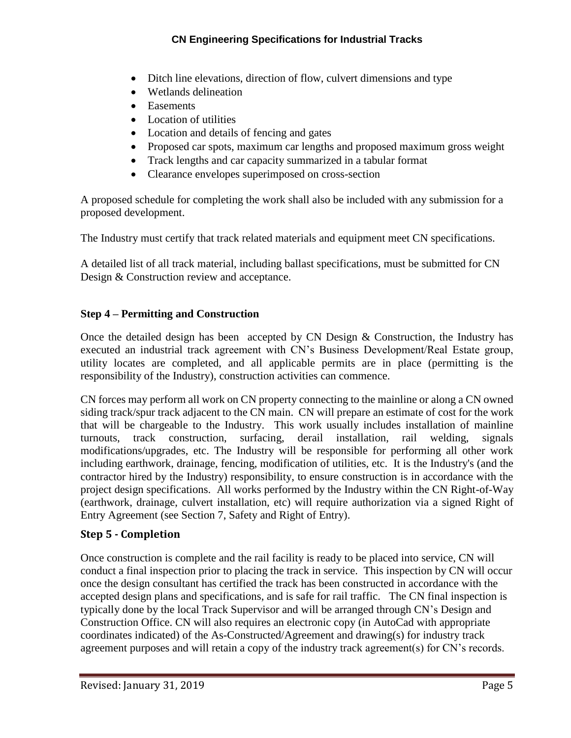- Ditch line elevations, direction of flow, culvert dimensions and type
- Wetlands delineation
- Easements
- Location of utilities
- Location and details of fencing and gates
- Proposed car spots, maximum car lengths and proposed maximum gross weight
- Track lengths and car capacity summarized in a tabular format
- Clearance envelopes superimposed on cross-section

A proposed schedule for completing the work shall also be included with any submission for a proposed development.

The Industry must certify that track related materials and equipment meet CN specifications.

A detailed list of all track material, including ballast specifications, must be submitted for CN Design & Construction review and acceptance.

#### **Step 4 – Permitting and Construction**

Once the detailed design has been accepted by CN Design & Construction, the Industry has executed an industrial track agreement with CN's Business Development/Real Estate group, utility locates are completed, and all applicable permits are in place (permitting is the responsibility of the Industry), construction activities can commence.

CN forces may perform all work on CN property connecting to the mainline or along a CN owned siding track/spur track adjacent to the CN main. CN will prepare an estimate of cost for the work that will be chargeable to the Industry. This work usually includes installation of mainline turnouts, track construction, surfacing, derail installation, rail welding, signals modifications/upgrades, etc. The Industry will be responsible for performing all other work including earthwork, drainage, fencing, modification of utilities, etc. It is the Industry's (and the contractor hired by the Industry) responsibility, to ensure construction is in accordance with the project design specifications. All works performed by the Industry within the CN Right-of-Way (earthwork, drainage, culvert installation, etc) will require authorization via a signed Right of Entry Agreement (see Section 7, Safety and Right of Entry).

#### **Step 5 - Completion**

Once construction is complete and the rail facility is ready to be placed into service, CN will conduct a final inspection prior to placing the track in service. This inspection by CN will occur once the design consultant has certified the track has been constructed in accordance with the accepted design plans and specifications, and is safe for rail traffic. The CN final inspection is typically done by the local Track Supervisor and will be arranged through CN's Design and Construction Office. CN will also requires an electronic copy (in AutoCad with appropriate coordinates indicated) of the As-Constructed/Agreement and drawing(s) for industry track agreement purposes and will retain a copy of the industry track agreement(s) for CN's records.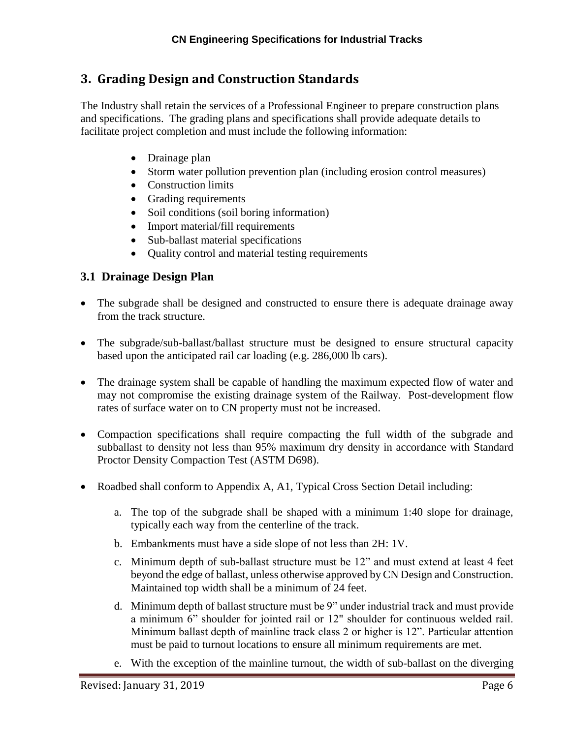# <span id="page-9-0"></span>**3. Grading Design and Construction Standards**

The Industry shall retain the services of a Professional Engineer to prepare construction plans and specifications. The grading plans and specifications shall provide adequate details to facilitate project completion and must include the following information:

- Drainage plan
- Storm water pollution prevention plan (including erosion control measures)
- Construction limits
- Grading requirements
- Soil conditions (soil boring information)
- Import material/fill requirements
- Sub-ballast material specifications
- Quality control and material testing requirements

### <span id="page-9-1"></span>**3.1 Drainage Design Plan**

- The subgrade shall be designed and constructed to ensure there is adequate drainage away from the track structure.
- The subgrade/sub-ballast/ballast structure must be designed to ensure structural capacity based upon the anticipated rail car loading (e.g. 286,000 lb cars).
- The drainage system shall be capable of handling the maximum expected flow of water and may not compromise the existing drainage system of the Railway. Post-development flow rates of surface water on to CN property must not be increased.
- Compaction specifications shall require compacting the full width of the subgrade and subballast to density not less than 95% maximum dry density in accordance with Standard Proctor Density Compaction Test (ASTM D698).
- Roadbed shall conform to Appendix A, A1, Typical Cross Section Detail including:
	- a. The top of the subgrade shall be shaped with a minimum 1:40 slope for drainage, typically each way from the centerline of the track.
	- b. Embankments must have a side slope of not less than 2H: 1V.
	- c. Minimum depth of sub-ballast structure must be 12" and must extend at least 4 feet beyond the edge of ballast, unless otherwise approved by CN Design and Construction. Maintained top width shall be a minimum of 24 feet.
	- d. Minimum depth of ballast structure must be 9" under industrial track and must provide a minimum 6" shoulder for jointed rail or 12" shoulder for continuous welded rail. Minimum ballast depth of mainline track class 2 or higher is 12". Particular attention must be paid to turnout locations to ensure all minimum requirements are met.
	- e. With the exception of the mainline turnout, the width of sub-ballast on the diverging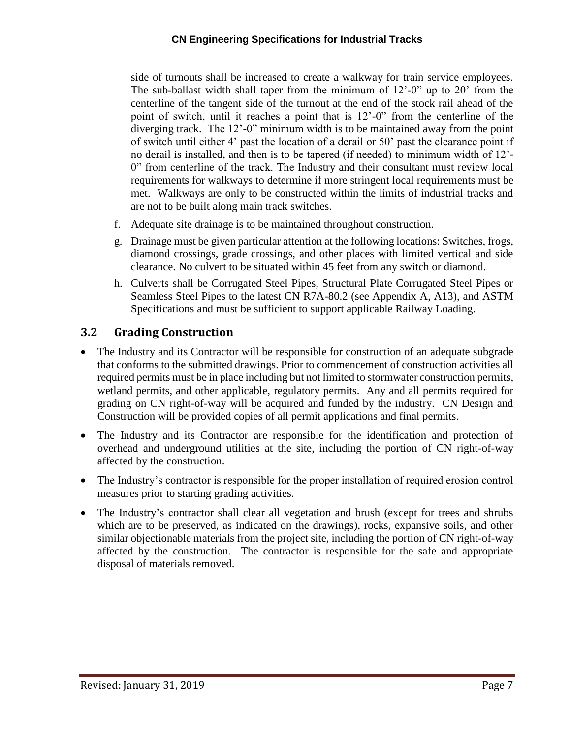#### **CN Engineering Specifications for Industrial Tracks**

side of turnouts shall be increased to create a walkway for train service employees. The sub-ballast width shall taper from the minimum of 12'-0" up to 20' from the centerline of the tangent side of the turnout at the end of the stock rail ahead of the point of switch, until it reaches a point that is 12'-0" from the centerline of the diverging track. The 12'-0" minimum width is to be maintained away from the point of switch until either 4' past the location of a derail or 50' past the clearance point if no derail is installed, and then is to be tapered (if needed) to minimum width of 12'- 0" from centerline of the track. The Industry and their consultant must review local requirements for walkways to determine if more stringent local requirements must be met. Walkways are only to be constructed within the limits of industrial tracks and are not to be built along main track switches.

- f. Adequate site drainage is to be maintained throughout construction.
- g. Drainage must be given particular attention at the following locations: Switches, frogs, diamond crossings, grade crossings, and other places with limited vertical and side clearance. No culvert to be situated within 45 feet from any switch or diamond.
- h. Culverts shall be Corrugated Steel Pipes, Structural Plate Corrugated Steel Pipes or Seamless Steel Pipes to the latest CN R7A-80.2 (see Appendix A, A13), and ASTM Specifications and must be sufficient to support applicable Railway Loading.

### <span id="page-10-0"></span>**3.2 Grading Construction**

- The Industry and its Contractor will be responsible for construction of an adequate subgrade that conforms to the submitted drawings. Prior to commencement of construction activities all required permits must be in place including but not limited to stormwater construction permits, wetland permits, and other applicable, regulatory permits. Any and all permits required for grading on CN right-of-way will be acquired and funded by the industry. CN Design and Construction will be provided copies of all permit applications and final permits.
- The Industry and its Contractor are responsible for the identification and protection of overhead and underground utilities at the site, including the portion of CN right-of-way affected by the construction.
- The Industry's contractor is responsible for the proper installation of required erosion control measures prior to starting grading activities.
- The Industry's contractor shall clear all vegetation and brush (except for trees and shrubs which are to be preserved, as indicated on the drawings), rocks, expansive soils, and other similar objectionable materials from the project site, including the portion of CN right-of-way affected by the construction. The contractor is responsible for the safe and appropriate disposal of materials removed.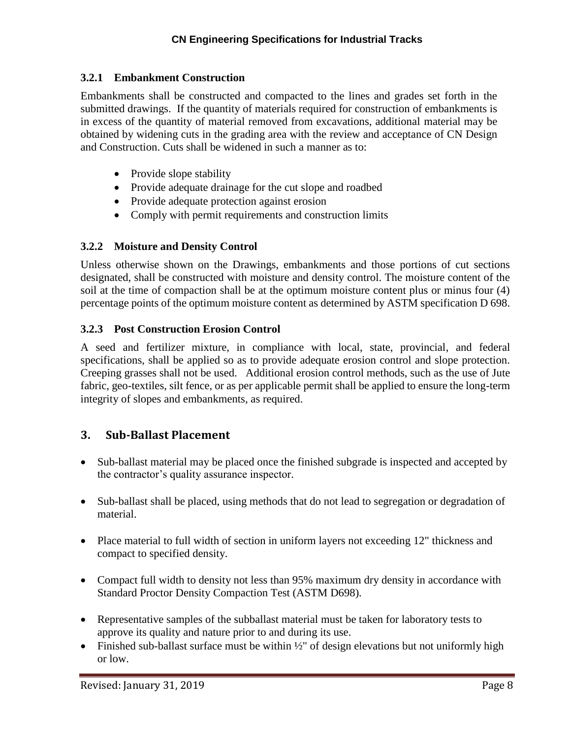#### <span id="page-11-0"></span>**3.2.1 Embankment Construction**

Embankments shall be constructed and compacted to the lines and grades set forth in the submitted drawings. If the quantity of materials required for construction of embankments is in excess of the quantity of material removed from excavations, additional material may be obtained by widening cuts in the grading area with the review and acceptance of CN Design and Construction. Cuts shall be widened in such a manner as to:

- Provide slope stability
- Provide adequate drainage for the cut slope and roadbed
- Provide adequate protection against erosion
- Comply with permit requirements and construction limits

#### <span id="page-11-1"></span>**3.2.2 Moisture and Density Control**

Unless otherwise shown on the Drawings, embankments and those portions of cut sections designated, shall be constructed with moisture and density control. The moisture content of the soil at the time of compaction shall be at the optimum moisture content plus or minus four (4) percentage points of the optimum moisture content as determined by ASTM specification D 698.

#### <span id="page-11-2"></span>**3.2.3 Post Construction Erosion Control**

A seed and fertilizer mixture, in compliance with local, state, provincial, and federal specifications, shall be applied so as to provide adequate erosion control and slope protection. Creeping grasses shall not be used. Additional erosion control methods, such as the use of Jute fabric, geo-textiles, silt fence, or as per applicable permit shall be applied to ensure the long-term integrity of slopes and embankments, as required.

### <span id="page-11-3"></span>**3. Sub-Ballast Placement**

- Sub-ballast material may be placed once the finished subgrade is inspected and accepted by the contractor's quality assurance inspector.
- Sub-ballast shall be placed, using methods that do not lead to segregation or degradation of material.
- Place material to full width of section in uniform layers not exceeding 12" thickness and compact to specified density.
- Compact full width to density not less than 95% maximum dry density in accordance with Standard Proctor Density Compaction Test (ASTM D698).
- Representative samples of the subballast material must be taken for laboratory tests to approve its quality and nature prior to and during its use.
- Finished sub-ballast surface must be within  $\frac{1}{2}$ " of design elevations but not uniformly high or low.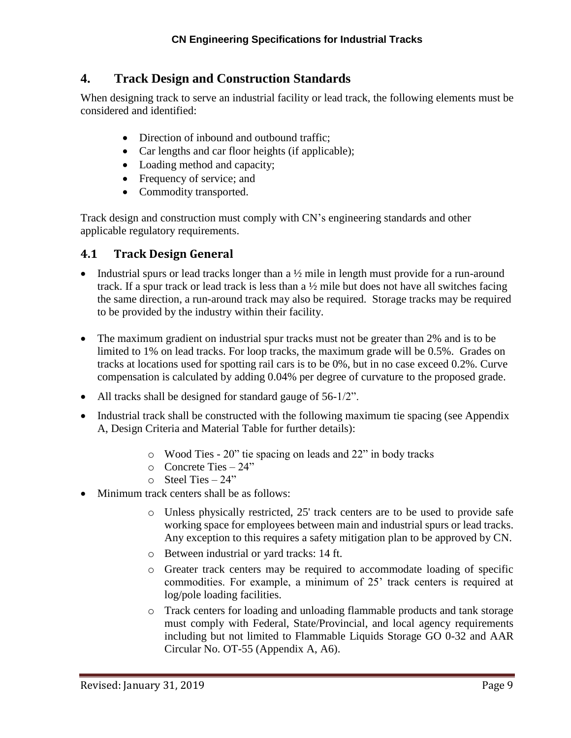# <span id="page-12-0"></span>**4. Track Design and Construction Standards**

When designing track to serve an industrial facility or lead track, the following elements must be considered and identified:

- Direction of inbound and outbound traffic;
- Car lengths and car floor heights (if applicable);
- Loading method and capacity;
- Frequency of service; and
- Commodity transported.

Track design and construction must comply with CN's engineering standards and other applicable regulatory requirements.

### <span id="page-12-1"></span>**4.1 Track Design General**

- Industrial spurs or lead tracks longer than a  $\frac{1}{2}$  mile in length must provide for a run-around track. If a spur track or lead track is less than a ½ mile but does not have all switches facing the same direction, a run-around track may also be required. Storage tracks may be required to be provided by the industry within their facility.
- The maximum gradient on industrial spur tracks must not be greater than 2% and is to be limited to 1% on lead tracks. For loop tracks, the maximum grade will be 0.5%. Grades on tracks at locations used for spotting rail cars is to be 0%, but in no case exceed 0.2%. Curve compensation is calculated by adding 0.04% per degree of curvature to the proposed grade.
- All tracks shall be designed for standard gauge of 56-1/2".
- Industrial track shall be constructed with the following maximum tie spacing (see Appendix A, Design Criteria and Material Table for further details):
	- o Wood Ties 20" tie spacing on leads and 22" in body tracks
	- o Concrete Ties 24"
	- $\circ$  Steel Ties 24"
- Minimum track centers shall be as follows:
	- o Unless physically restricted, 25' track centers are to be used to provide safe working space for employees between main and industrial spurs or lead tracks. Any exception to this requires a safety mitigation plan to be approved by CN.
	- o Between industrial or yard tracks: 14 ft.
	- o Greater track centers may be required to accommodate loading of specific commodities. For example, a minimum of 25' track centers is required at log/pole loading facilities.
	- o Track centers for loading and unloading flammable products and tank storage must comply with Federal, State/Provincial, and local agency requirements including but not limited to Flammable Liquids Storage GO 0-32 and AAR Circular No. OT-55 (Appendix A, A6).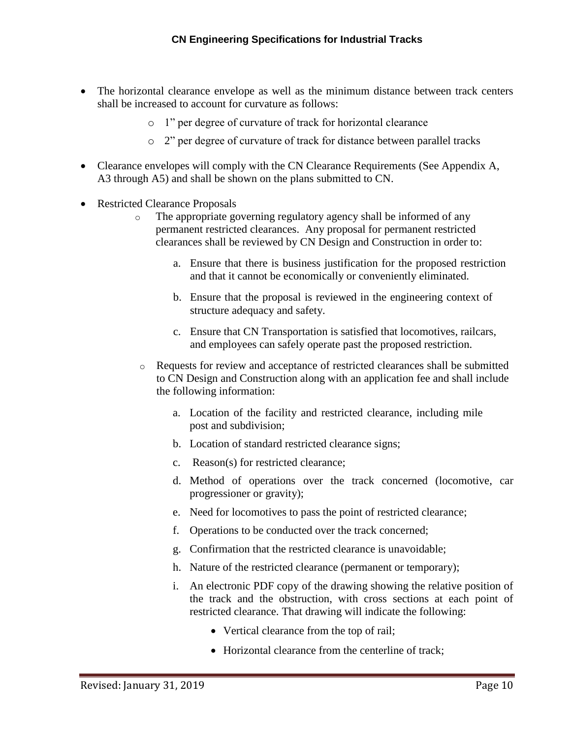- The horizontal clearance envelope as well as the minimum distance between track centers shall be increased to account for curvature as follows:
	- o 1" per degree of curvature of track for horizontal clearance
	- o 2" per degree of curvature of track for distance between parallel tracks
- Clearance envelopes will comply with the CN Clearance Requirements (See Appendix A, A3 through A5) and shall be shown on the plans submitted to CN.
- Restricted Clearance Proposals
	- o The appropriate governing regulatory agency shall be informed of any permanent restricted clearances. Any proposal for permanent restricted clearances shall be reviewed by CN Design and Construction in order to:
		- a. Ensure that there is business justification for the proposed restriction and that it cannot be economically or conveniently eliminated.
		- b. Ensure that the proposal is reviewed in the engineering context of structure adequacy and safety.
		- c. Ensure that CN Transportation is satisfied that locomotives, railcars, and employees can safely operate past the proposed restriction.
	- o Requests for review and acceptance of restricted clearances shall be submitted to CN Design and Construction along with an application fee and shall include the following information:
		- a. Location of the facility and restricted clearance, including mile post and subdivision;
		- b. Location of standard restricted clearance signs;
		- c. Reason(s) for restricted clearance;
		- d. Method of operations over the track concerned (locomotive, car progressioner or gravity);
		- e. Need for locomotives to pass the point of restricted clearance;
		- f. Operations to be conducted over the track concerned;
		- g. Confirmation that the restricted clearance is unavoidable;
		- h. Nature of the restricted clearance (permanent or temporary);
		- i. An electronic PDF copy of the drawing showing the relative position of the track and the obstruction, with cross sections at each point of restricted clearance. That drawing will indicate the following:
			- Vertical clearance from the top of rail;
			- Horizontal clearance from the centerline of track;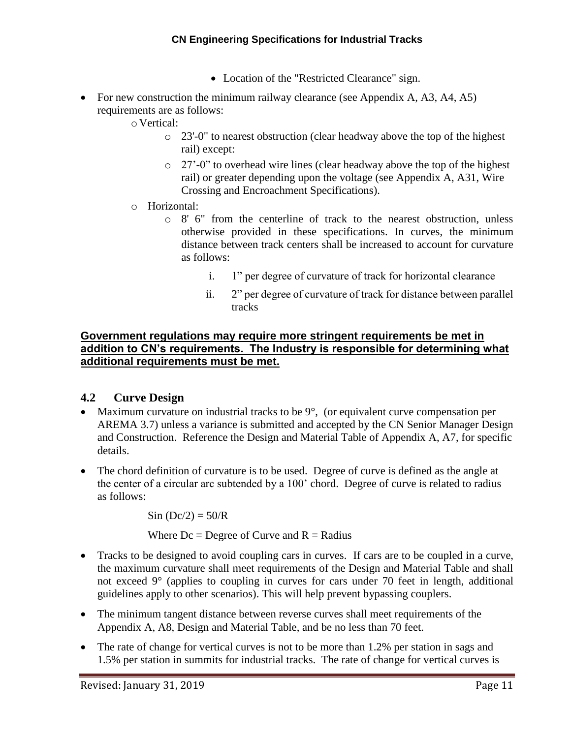- Location of the "Restricted Clearance" sign.
- For new construction the minimum railway clearance (see Appendix A, A3, A4, A5) requirements are as follows:
	- o Vertical:
		- o 23'-0" to nearest obstruction (clear headway above the top of the highest rail) except:
		- o 27'-0" to overhead wire lines (clear headway above the top of the highest rail) or greater depending upon the voltage (see Appendix A, A31, Wire Crossing and Encroachment Specifications).
	- o Horizontal:
		- $\circ$  8' 6" from the centerline of track to the nearest obstruction, unless otherwise provided in these specifications. In curves, the minimum distance between track centers shall be increased to account for curvature as follows:
			- i. 1" per degree of curvature of track for horizontal clearance
			- ii. 2" per degree of curvature of track for distance between parallel tracks

#### **Government regulations may require more stringent requirements be met in addition to CN's requirements. The Industry is responsible for determining what additional requirements must be met.**

### <span id="page-14-0"></span>**4.2 Curve Design**

- Maximum curvature on industrial tracks to be  $9^\circ$ , (or equivalent curve compensation per AREMA 3.7) unless a variance is submitted and accepted by the CN Senior Manager Design and Construction. Reference the Design and Material Table of Appendix A, A7, for specific details.
- The chord definition of curvature is to be used. Degree of curve is defined as the angle at the center of a circular arc subtended by a 100' chord. Degree of curve is related to radius as follows:

 $Sin (Dc/2) = 50/R$ 

Where  $Dc =$  Degree of Curve and  $R =$  Radius

- Tracks to be designed to avoid coupling cars in curves. If cars are to be coupled in a curve, the maximum curvature shall meet requirements of the Design and Material Table and shall not exceed 9° (applies to coupling in curves for cars under 70 feet in length, additional guidelines apply to other scenarios). This will help prevent bypassing couplers.
- The minimum tangent distance between reverse curves shall meet requirements of the Appendix A, A8, Design and Material Table, and be no less than 70 feet.
- The rate of change for vertical curves is not to be more than 1.2% per station in sags and 1.5% per station in summits for industrial tracks. The rate of change for vertical curves is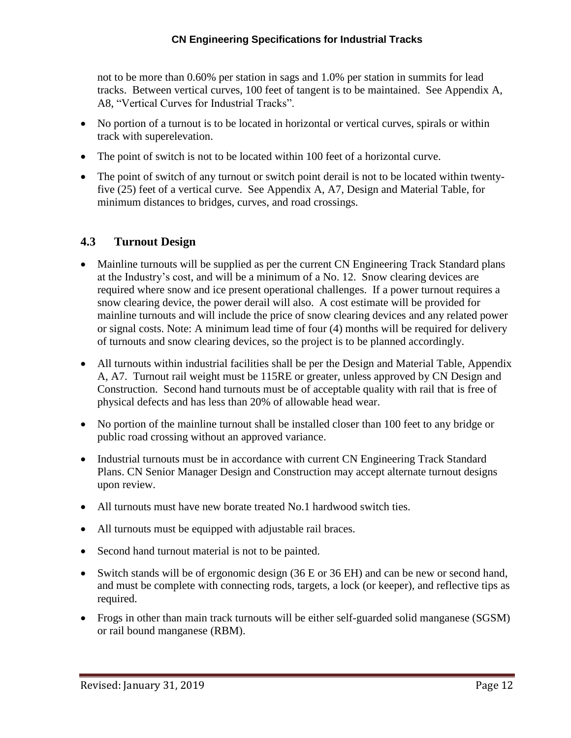not to be more than 0.60% per station in sags and 1.0% per station in summits for lead tracks. Between vertical curves, 100 feet of tangent is to be maintained. See Appendix A, A8, "Vertical Curves for Industrial Tracks".

- No portion of a turnout is to be located in horizontal or vertical curves, spirals or within track with superelevation.
- The point of switch is not to be located within 100 feet of a horizontal curve.
- The point of switch of any turnout or switch point derail is not to be located within twentyfive (25) feet of a vertical curve. See Appendix A, A7, Design and Material Table, for minimum distances to bridges, curves, and road crossings.

### <span id="page-15-0"></span>**4.3 Turnout Design**

- Mainline turnouts will be supplied as per the current CN Engineering Track Standard plans at the Industry's cost, and will be a minimum of a No. 12. Snow clearing devices are required where snow and ice present operational challenges. If a power turnout requires a snow clearing device, the power derail will also. A cost estimate will be provided for mainline turnouts and will include the price of snow clearing devices and any related power or signal costs. Note: A minimum lead time of four (4) months will be required for delivery of turnouts and snow clearing devices, so the project is to be planned accordingly.
- All turnouts within industrial facilities shall be per the Design and Material Table, Appendix A, A7. Turnout rail weight must be 115RE or greater, unless approved by CN Design and Construction. Second hand turnouts must be of acceptable quality with rail that is free of physical defects and has less than 20% of allowable head wear.
- No portion of the mainline turnout shall be installed closer than 100 feet to any bridge or public road crossing without an approved variance.
- Industrial turnouts must be in accordance with current CN Engineering Track Standard Plans. CN Senior Manager Design and Construction may accept alternate turnout designs upon review.
- All turnouts must have new borate treated No.1 hardwood switch ties.
- All turnouts must be equipped with adjustable rail braces.
- Second hand turnout material is not to be painted.
- Switch stands will be of ergonomic design (36 E or 36 EH) and can be new or second hand, and must be complete with connecting rods, targets, a lock (or keeper), and reflective tips as required.
- Frogs in other than main track turnouts will be either self-guarded solid manganese (SGSM) or rail bound manganese (RBM).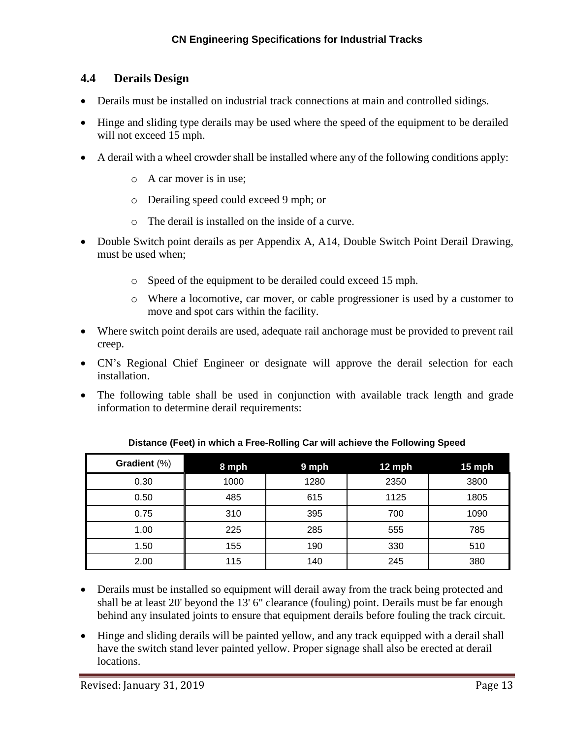### <span id="page-16-0"></span>**4.4 Derails Design**

- Derails must be installed on industrial track connections at main and controlled sidings.
- Hinge and sliding type derails may be used where the speed of the equipment to be derailed will not exceed 15 mph.
- A derail with a wheel crowder shall be installed where any of the following conditions apply:
	- o A car mover is in use;
	- o Derailing speed could exceed 9 mph; or
	- o The derail is installed on the inside of a curve.
- Double Switch point derails as per Appendix A, A14, Double Switch Point Derail Drawing, must be used when;
	- o Speed of the equipment to be derailed could exceed 15 mph.
	- o Where a locomotive, car mover, or cable progressioner is used by a customer to move and spot cars within the facility.
- Where switch point derails are used, adequate rail anchorage must be provided to prevent rail creep.
- CN's Regional Chief Engineer or designate will approve the derail selection for each installation.
- The following table shall be used in conjunction with available track length and grade information to determine derail requirements:

| Gradient (%) | 8 mph | 9 mph | $12$ mph | 15 mph |
|--------------|-------|-------|----------|--------|
| 0.30         | 1000  | 1280  | 2350     | 3800   |
| 0.50         | 485   | 615   | 1125     | 1805   |
| 0.75         | 310   | 395   | 700      | 1090   |
| 1.00         | 225   | 285   | 555      | 785    |
| 1.50         | 155   | 190   | 330      | 510    |
| 2.00         | 115   | 140   | 245      | 380    |

**Distance (Feet) in which a Free-Rolling Car will achieve the Following Speed**

- Derails must be installed so equipment will derail away from the track being protected and shall be at least 20' beyond the 13' 6" clearance (fouling) point. Derails must be far enough behind any insulated joints to ensure that equipment derails before fouling the track circuit.
- Hinge and sliding derails will be painted yellow, and any track equipped with a derail shall have the switch stand lever painted yellow. Proper signage shall also be erected at derail locations.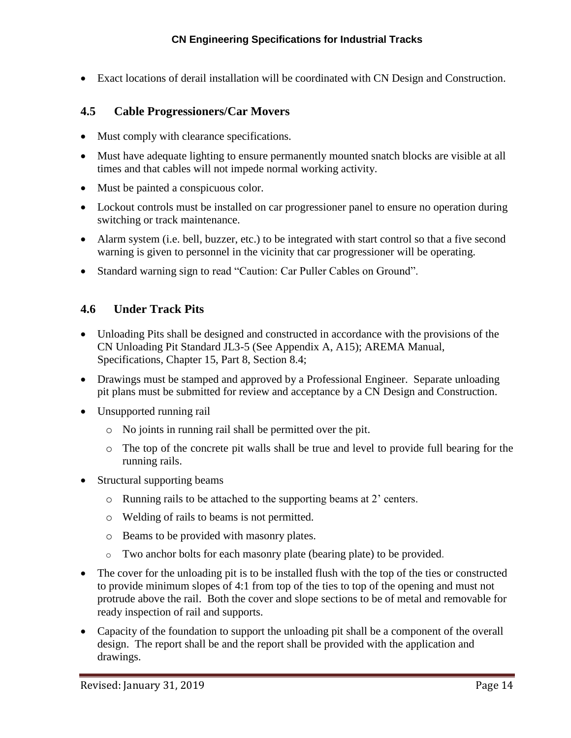Exact locations of derail installation will be coordinated with CN Design and Construction.

### <span id="page-17-0"></span>**4.5 Cable Progressioners/Car Movers**

- Must comply with clearance specifications.
- Must have adequate lighting to ensure permanently mounted snatch blocks are visible at all times and that cables will not impede normal working activity.
- Must be painted a conspicuous color.
- Lockout controls must be installed on car progressioner panel to ensure no operation during switching or track maintenance.
- Alarm system (i.e. bell, buzzer, etc.) to be integrated with start control so that a five second warning is given to personnel in the vicinity that car progressioner will be operating.
- Standard warning sign to read "Caution: Car Puller Cables on Ground".

### <span id="page-17-1"></span>**4.6 Under Track Pits**

- Unloading Pits shall be designed and constructed in accordance with the provisions of the CN Unloading Pit Standard JL3-5 (See Appendix A, A15); AREMA Manual, Specifications, Chapter 15, Part 8, Section 8.4;
- Drawings must be stamped and approved by a Professional Engineer. Separate unloading pit plans must be submitted for review and acceptance by a CN Design and Construction.
- Unsupported running rail
	- o No joints in running rail shall be permitted over the pit.
	- o The top of the concrete pit walls shall be true and level to provide full bearing for the running rails.
- Structural supporting beams
	- o Running rails to be attached to the supporting beams at 2' centers.
	- o Welding of rails to beams is not permitted.
	- o Beams to be provided with masonry plates.
	- o Two anchor bolts for each masonry plate (bearing plate) to be provided.
- The cover for the unloading pit is to be installed flush with the top of the ties or constructed to provide minimum slopes of 4:1 from top of the ties to top of the opening and must not protrude above the rail. Both the cover and slope sections to be of metal and removable for ready inspection of rail and supports.
- Capacity of the foundation to support the unloading pit shall be a component of the overall design. The report shall be and the report shall be provided with the application and drawings.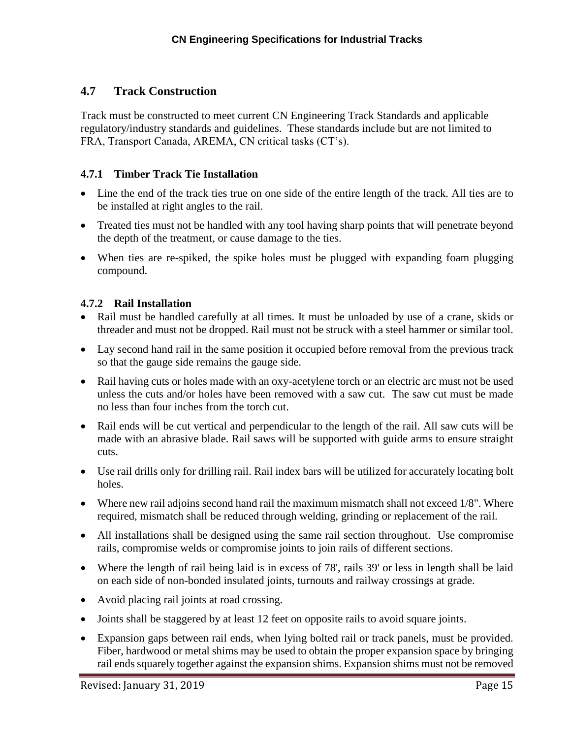### **4.7 Track Construction**

Track must be constructed to meet current CN Engineering Track Standards and applicable regulatory/industry standards and guidelines. These standards include but are not limited to FRA, Transport Canada, AREMA, CN critical tasks (CT's).

#### <span id="page-18-0"></span>**4.7.1 Timber Track Tie Installation**

- Line the end of the track ties true on one side of the entire length of the track. All ties are to be installed at right angles to the rail.
- Treated ties must not be handled with any tool having sharp points that will penetrate beyond the depth of the treatment, or cause damage to the ties.
- When ties are re-spiked, the spike holes must be plugged with expanding foam plugging compound.

#### <span id="page-18-1"></span>**4.7.2 Rail Installation**

- Rail must be handled carefully at all times. It must be unloaded by use of a crane, skids or threader and must not be dropped. Rail must not be struck with a steel hammer or similar tool.
- Lay second hand rail in the same position it occupied before removal from the previous track so that the gauge side remains the gauge side.
- Rail having cuts or holes made with an oxy-acetylene torch or an electric arc must not be used unless the cuts and/or holes have been removed with a saw cut. The saw cut must be made no less than four inches from the torch cut.
- Rail ends will be cut vertical and perpendicular to the length of the rail. All saw cuts will be made with an abrasive blade. Rail saws will be supported with guide arms to ensure straight cuts.
- Use rail drills only for drilling rail. Rail index bars will be utilized for accurately locating bolt holes.
- Where new rail adjoins second hand rail the maximum mismatch shall not exceed 1/8". Where required, mismatch shall be reduced through welding, grinding or replacement of the rail.
- All installations shall be designed using the same rail section throughout. Use compromise rails, compromise welds or compromise joints to join rails of different sections.
- Where the length of rail being laid is in excess of 78', rails 39' or less in length shall be laid on each side of non-bonded insulated joints, turnouts and railway crossings at grade.
- Avoid placing rail joints at road crossing.
- Joints shall be staggered by at least 12 feet on opposite rails to avoid square joints.
- Expansion gaps between rail ends, when lying bolted rail or track panels, must be provided. Fiber, hardwood or metal shims may be used to obtain the proper expansion space by bringing rail ends squarely together against the expansion shims. Expansion shims must not be removed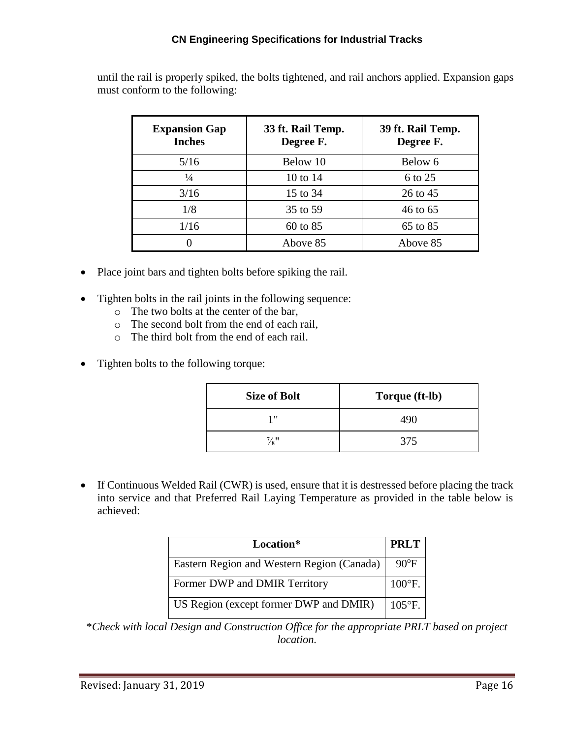#### **CN Engineering Specifications for Industrial Tracks**

until the rail is properly spiked, the bolts tightened, and rail anchors applied. Expansion gaps must conform to the following:

| <b>Expansion Gap</b><br><b>Inches</b> | 33 ft. Rail Temp.<br>Degree F. | 39 ft. Rail Temp.<br>Degree F. |
|---------------------------------------|--------------------------------|--------------------------------|
| 5/16                                  | Below 10                       | Below 6                        |
| $\frac{1}{4}$                         | 10 to 14                       | 6 to 25                        |
| 3/16                                  | 15 to 34                       | 26 to 45                       |
| 1/8                                   | 35 to 59                       | 46 to 65                       |
| 1/16                                  | 60 to 85                       | 65 to 85                       |
|                                       | Above 85                       | Above 85                       |

- Place joint bars and tighten bolts before spiking the rail.
- Tighten bolts in the rail joints in the following sequence:
	- o The two bolts at the center of the bar,
	- o The second bolt from the end of each rail,
	- o The third bolt from the end of each rail.
- Tighten bolts to the following torque:

| <b>Size of Bolt</b> | Torque (ft-lb) |
|---------------------|----------------|
| 1 "                 | 490            |
| $\frac{7}{8}$ "     | 375            |

• If Continuous Welded Rail (CWR) is used, ensure that it is destressed before placing the track into service and that Preferred Rail Laying Temperature as provided in the table below is achieved:

| Location*                                  | <b>PRLT</b>      |
|--------------------------------------------|------------------|
| Eastern Region and Western Region (Canada) | $90^{\circ}$ F   |
| Former DWP and DMIR Territory              | $100^{\circ}$ F. |
| US Region (except former DWP and DMIR)     | $105^{\circ}$ F. |

\**Check with local Design and Construction Office for the appropriate PRLT based on project location.*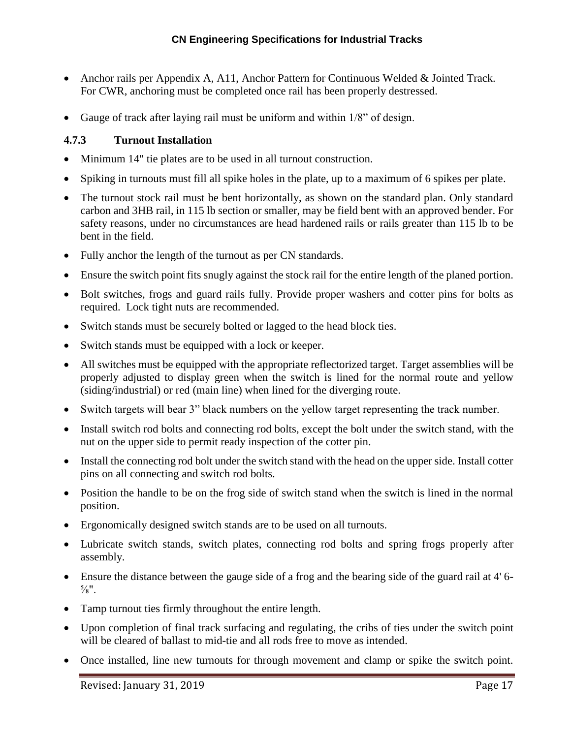- Anchor rails per Appendix A, A11, Anchor Pattern for Continuous Welded & Jointed Track. For CWR, anchoring must be completed once rail has been properly destressed.
- Gauge of track after laying rail must be uniform and within 1/8" of design.

#### <span id="page-20-0"></span>**4.7.3 Turnout Installation**

- Minimum 14" tie plates are to be used in all turnout construction.
- Spiking in turnouts must fill all spike holes in the plate, up to a maximum of 6 spikes per plate.
- The turnout stock rail must be bent horizontally, as shown on the standard plan. Only standard carbon and 3HB rail, in 115 lb section or smaller, may be field bent with an approved bender. For safety reasons, under no circumstances are head hardened rails or rails greater than 115 lb to be bent in the field.
- Fully anchor the length of the turnout as per CN standards.
- Ensure the switch point fits snugly against the stock rail for the entire length of the planed portion.
- Bolt switches, frogs and guard rails fully. Provide proper washers and cotter pins for bolts as required. Lock tight nuts are recommended.
- Switch stands must be securely bolted or lagged to the head block ties.
- Switch stands must be equipped with a lock or keeper.
- All switches must be equipped with the appropriate reflectorized target. Target assemblies will be properly adjusted to display green when the switch is lined for the normal route and yellow (siding/industrial) or red (main line) when lined for the diverging route.
- Switch targets will bear 3" black numbers on the yellow target representing the track number.
- Install switch rod bolts and connecting rod bolts, except the bolt under the switch stand, with the nut on the upper side to permit ready inspection of the cotter pin.
- Install the connecting rod bolt under the switch stand with the head on the upper side. Install cotter pins on all connecting and switch rod bolts.
- Position the handle to be on the frog side of switch stand when the switch is lined in the normal position.
- Ergonomically designed switch stands are to be used on all turnouts.
- Lubricate switch stands, switch plates, connecting rod bolts and spring frogs properly after assembly.
- Ensure the distance between the gauge side of a frog and the bearing side of the guard rail at 4' 6-  $\frac{5}{8}$ ".
- Tamp turnout ties firmly throughout the entire length.
- Upon completion of final track surfacing and regulating, the cribs of ties under the switch point will be cleared of ballast to mid-tie and all rods free to move as intended.
- Once installed, line new turnouts for through movement and clamp or spike the switch point.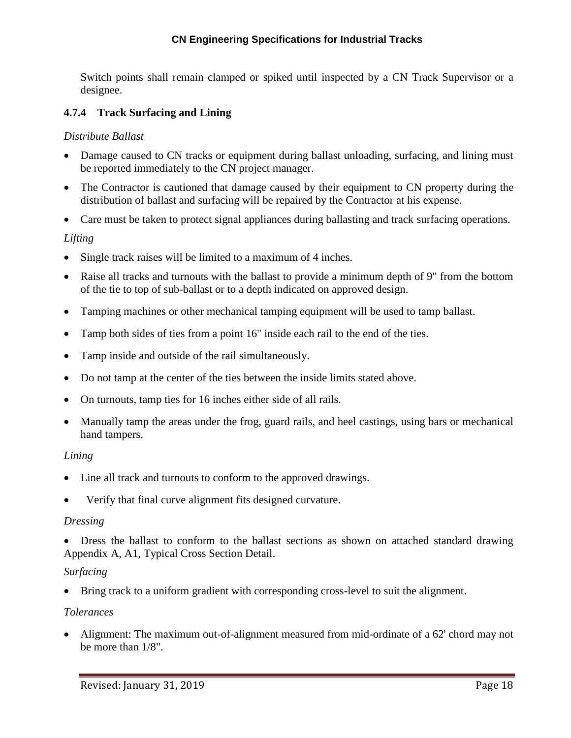#### **CN Engineering Specifications for Industrial Tracks**

Switch points shall remain clamped or spiked until inspected by a CN Track Supervisor or a designee.

#### <span id="page-21-0"></span>**4.7.4 Track Surfacing and Lining**

#### *Distribute Ballast*

- Damage caused to CN tracks or equipment during ballast unloading, surfacing, and lining must be reported immediately to the CN project manager.
- The Contractor is cautioned that damage caused by their equipment to CN property during the distribution of ballast and surfacing will be repaired by the Contractor at his expense.
- Care must be taken to protect signal appliances during ballasting and track surfacing operations.

#### *Lifting*

- Single track raises will be limited to a maximum of 4 inches.
- Raise all tracks and turnouts with the ballast to provide a minimum depth of 9" from the bottom of the tie to top of sub-ballast or to a depth indicated on approved design.
- Tamping machines or other mechanical tamping equipment will be used to tamp ballast.
- Tamp both sides of ties from a point 16" inside each rail to the end of the ties.
- Tamp inside and outside of the rail simultaneously.
- Do not tamp at the center of the ties between the inside limits stated above.
- On turnouts, tamp ties for 16 inches either side of all rails.
- Manually tamp the areas under the frog, guard rails, and heel castings, using bars or mechanical hand tampers.

#### *Lining*

- Line all track and turnouts to conform to the approved drawings.
- Verify that final curve alignment fits designed curvature.

#### *Dressing*

 Dress the ballast to conform to the ballast sections as shown on attached standard drawing Appendix A, A1, Typical Cross Section Detail.

#### *Surfacing*

Bring track to a uniform gradient with corresponding cross-level to suit the alignment.

#### *Tolerances*

 Alignment: The maximum out-of-alignment measured from mid-ordinate of a 62' chord may not be more than 1/8".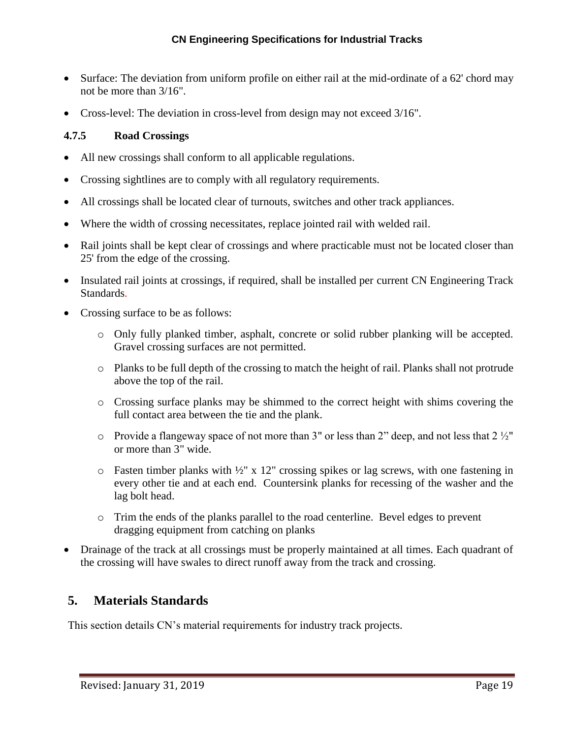- Surface: The deviation from uniform profile on either rail at the mid-ordinate of a 62' chord may not be more than 3/16".
- Cross-level: The deviation in cross-level from design may not exceed 3/16".

#### <span id="page-22-0"></span>**4.7.5 Road Crossings**

- All new crossings shall conform to all applicable regulations.
- Crossing sightlines are to comply with all regulatory requirements.
- All crossings shall be located clear of turnouts, switches and other track appliances.
- Where the width of crossing necessitates, replace jointed rail with welded rail.
- Rail joints shall be kept clear of crossings and where practicable must not be located closer than 25' from the edge of the crossing.
- Insulated rail joints at crossings, if required, shall be installed per current CN Engineering Track Standards.
- Crossing surface to be as follows:
	- o Only fully planked timber, asphalt, concrete or solid rubber planking will be accepted. Gravel crossing surfaces are not permitted.
	- o Planks to be full depth of the crossing to match the height of rail. Planks shall not protrude above the top of the rail.
	- o Crossing surface planks may be shimmed to the correct height with shims covering the full contact area between the tie and the plank.
	- $\circ$  Provide a flangeway space of not more than 3" or less than 2" deep, and not less that 2  $\frac{1}{2}$ " or more than 3" wide.
	- $\circ$  Fasten timber planks with  $\frac{1}{2}$ " x 12" crossing spikes or lag screws, with one fastening in every other tie and at each end. Countersink planks for recessing of the washer and the lag bolt head.
	- o Trim the ends of the planks parallel to the road centerline. Bevel edges to prevent dragging equipment from catching on planks
- Drainage of the track at all crossings must be properly maintained at all times. Each quadrant of the crossing will have swales to direct runoff away from the track and crossing.

### <span id="page-22-1"></span>**5. Materials Standards**

This section details CN's material requirements for industry track projects.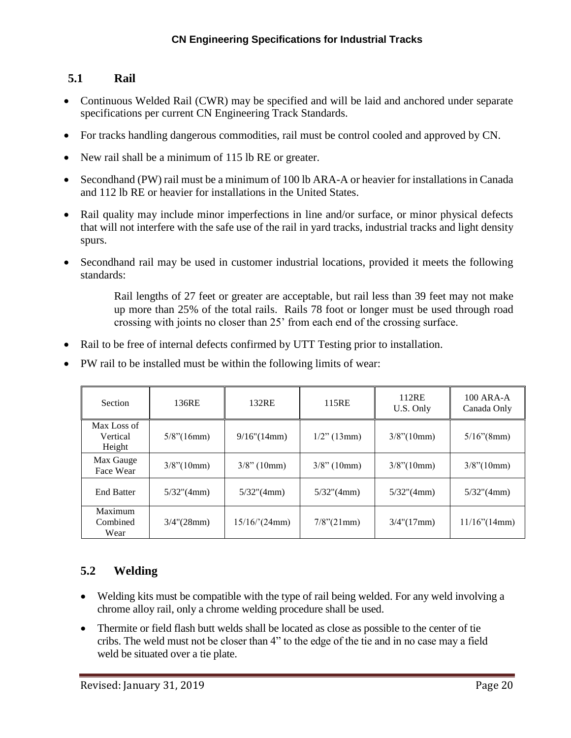### <span id="page-23-0"></span>**5.1 Rail**

- Continuous Welded Rail (CWR) may be specified and will be laid and anchored under separate specifications per current CN Engineering Track Standards.
- For tracks handling dangerous commodities, rail must be control cooled and approved by CN.
- New rail shall be a minimum of 115 lb RE or greater.
- Secondhand (PW) rail must be a minimum of 100 lb ARA-A or heavier for installations in Canada and 112 lb RE or heavier for installations in the United States.
- Rail quality may include minor imperfections in line and/or surface, or minor physical defects that will not interfere with the safe use of the rail in yard tracks, industrial tracks and light density spurs.
- Secondhand rail may be used in customer industrial locations, provided it meets the following standards:

Rail lengths of 27 feet or greater are acceptable, but rail less than 39 feet may not make up more than 25% of the total rails. Rails 78 foot or longer must be used through road crossing with joints no closer than 25' from each end of the crossing surface.

- Rail to be free of internal defects confirmed by UTT Testing prior to installation.
- PW rail to be installed must be within the following limits of wear:

| <b>Section</b>                    | 136RE             | 132RE<br>115RE |                  | 112RE<br>U.S. Only   | $100$ ARA-A<br>Canada Only |
|-----------------------------------|-------------------|----------------|------------------|----------------------|----------------------------|
| Max Loss of<br>Vertical<br>Height | $5/8$ "(16mm)     | 9/16''(14mm)   | $1/2$ " (13mm)   | $3/8$ " $(10mm)$     | $5/16$ "(8mm)              |
| Max Gauge<br>Face Wear            | $3/8$ " $(10mm)$  | $3/8$ " (10mm) | $3/8$ " (10mm)   | $3/8$ " $(10mm)$     | $3/8$ " $(10mm)$           |
| <b>End Batter</b>                 | $5/32$ "(4mm)     | $5/32$ "(4mm)  | $5/32$ "(4mm)    | $5/32$ "(4mm)        | $5/32$ "(4mm)              |
| Maximum<br>Combined<br>Wear       | $3/4$ " $(28$ mm) | 15/16/(24mm)   | $7/8$ " $(21mm)$ | $3/4$ " $(17$ mm $)$ | $11/16$ " $(14mm)$         |

# <span id="page-23-1"></span>**5.2 Welding**

- Welding kits must be compatible with the type of rail being welded. For any weld involving a chrome alloy rail, only a chrome welding procedure shall be used.
- Thermite or field flash butt welds shall be located as close as possible to the center of tie cribs. The weld must not be closer than 4" to the edge of the tie and in no case may a field weld be situated over a tie plate.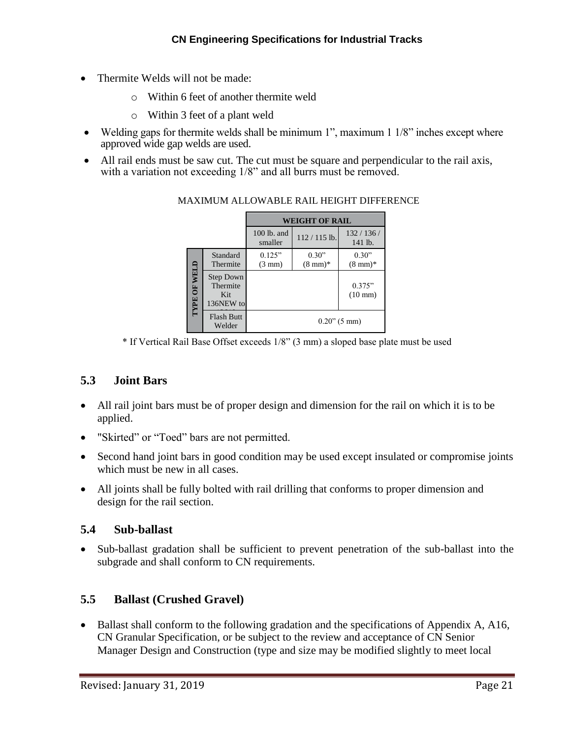- Thermite Welds will not be made:
	- o Within 6 feet of another thermite weld
	- o Within 3 feet of a plant weld
- Welding gaps for thermite welds shall be minimum 1", maximum 1 1/8" inches except where approved wide gap welds are used.
- All rail ends must be saw cut. The cut must be square and perpendicular to the rail axis, with a variation not exceeding 1/8" and all burrs must be removed.

|                     |                                                  | <b>WEIGHT OF RAIL</b>      |                             |                             |  |  |
|---------------------|--------------------------------------------------|----------------------------|-----------------------------|-----------------------------|--|--|
|                     |                                                  | 100 lb. and<br>smaller     | $112 / 115$ lb.             | 132/136/<br>141 lb.         |  |  |
|                     | Standard<br>Thermite                             | 0.125"<br>$(3 \text{ mm})$ | 0.30"<br>$(8 \text{ mm})^*$ | 0.30"<br>$(8 \text{ mm})^*$ |  |  |
| <b>IYPE OF WELD</b> | <b>Step Down</b><br>Thermite<br>Kit<br>136NEW to |                            |                             | 0.375"<br>$(10 \text{ mm})$ |  |  |
|                     | <b>Flash Butt</b><br>Welder                      |                            |                             | $0.20$ " (5 mm)             |  |  |

#### MAXIMUM ALLOWABLE RAIL HEIGHT DIFFERENCE

\* If Vertical Rail Base Offset exceeds 1/8" (3 mm) a sloped base plate must be used

### <span id="page-24-0"></span>**5.3 Joint Bars**

- All rail joint bars must be of proper design and dimension for the rail on which it is to be applied.
- "Skirted" or "Toed" bars are not permitted.
- Second hand joint bars in good condition may be used except insulated or compromise joints which must be new in all cases.
- All joints shall be fully bolted with rail drilling that conforms to proper dimension and design for the rail section.

### <span id="page-24-1"></span>**5.4 Sub-ballast**

 Sub-ballast gradation shall be sufficient to prevent penetration of the sub-ballast into the subgrade and shall conform to CN requirements.

### <span id="page-24-2"></span>**5.5 Ballast (Crushed Gravel)**

• Ballast shall conform to the following gradation and the specifications of Appendix A, A16, CN Granular Specification, or be subject to the review and acceptance of CN Senior Manager Design and Construction (type and size may be modified slightly to meet local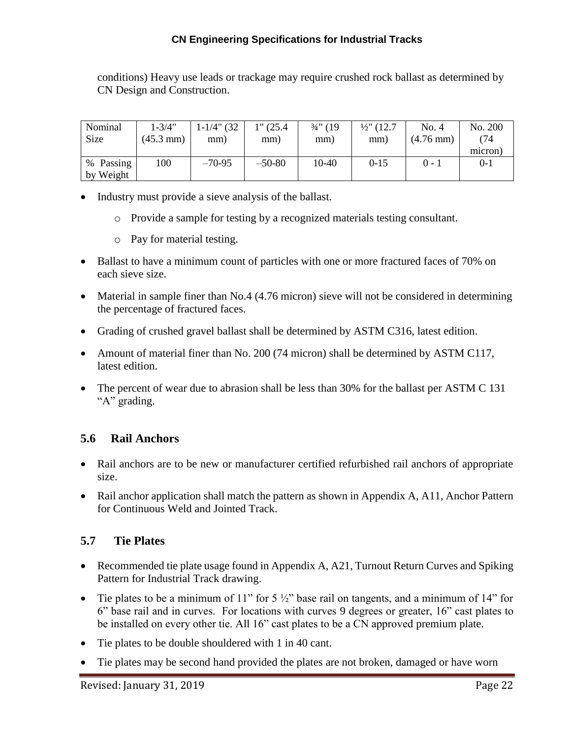#### **CN Engineering Specifications for Industrial Tracks**

conditions) Heavy use leads or trackage may require crushed rock ballast as determined by CN Design and Construction.

| Nominal<br><b>Size</b>    | $1 - 3/4"$<br>$(45.3 \text{ mm})$ | $1-1/4$ " (32<br>mm) | 1" (25.4)<br>mm) | $\frac{3}{4}$ " (19<br>mm) | $\frac{1}{2}$ (12.7)<br>mm) | No. 4<br>$(4.76 \text{ mm})$ | No. 200<br>(74<br>micron) |
|---------------------------|-----------------------------------|----------------------|------------------|----------------------------|-----------------------------|------------------------------|---------------------------|
| %<br>Passing<br>by Weight | 100                               | $-70-95$             | $-50-80$         | 10-40                      | $0-15$                      | $0 - 1$                      | $0 - 1$                   |

- Industry must provide a sieve analysis of the ballast.
	- o Provide a sample for testing by a recognized materials testing consultant.
	- o Pay for material testing.
- Ballast to have a minimum count of particles with one or more fractured faces of 70% on each sieve size.
- Material in sample finer than No.4 (4.76 micron) sieve will not be considered in determining the percentage of fractured faces.
- Grading of crushed gravel ballast shall be determined by ASTM C316, latest edition.
- Amount of material finer than No. 200 (74 micron) shall be determined by ASTM C117, latest edition.
- The percent of wear due to abrasion shall be less than 30% for the ballast per ASTM C 131 "A" grading.

### <span id="page-25-0"></span>**5.6 Rail Anchors**

- Rail anchors are to be new or manufacturer certified refurbished rail anchors of appropriate size.
- Rail anchor application shall match the pattern as shown in Appendix A, A11, Anchor Pattern for Continuous Weld and Jointed Track.

### <span id="page-25-1"></span>**5.7 Tie Plates**

- Recommended tie plate usage found in Appendix A, A21, Turnout Return Curves and Spiking Pattern for Industrial Track drawing.
- Tie plates to be a minimum of 11" for  $5\frac{1}{2}$ " base rail on tangents, and a minimum of 14" for 6" base rail and in curves. For locations with curves 9 degrees or greater, 16" cast plates to be installed on every other tie. All 16" cast plates to be a CN approved premium plate.
- Tie plates to be double shouldered with 1 in 40 cant.
- Tie plates may be second hand provided the plates are not broken, damaged or have worn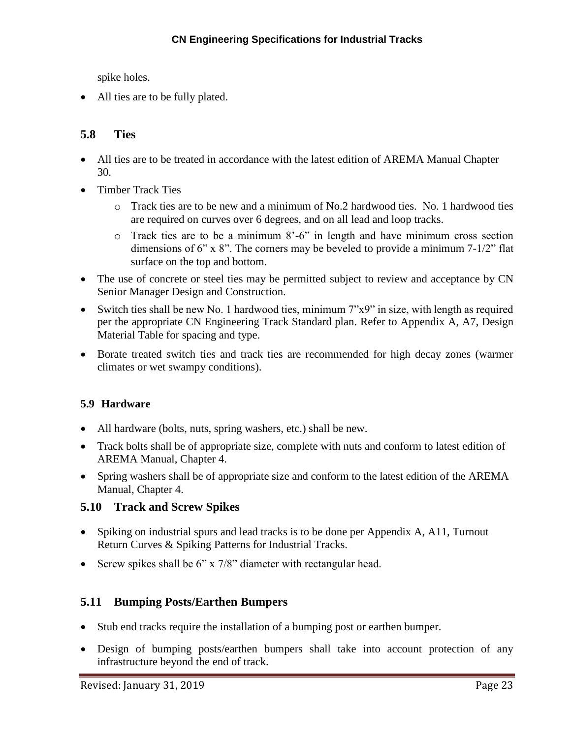spike holes.

• All ties are to be fully plated.

### <span id="page-26-0"></span>**5.8 Ties**

- All ties are to be treated in accordance with the latest edition of AREMA Manual Chapter 30.
- Timber Track Ties
	- o Track ties are to be new and a minimum of No.2 hardwood ties. No. 1 hardwood ties are required on curves over 6 degrees, and on all lead and loop tracks.
	- o Track ties are to be a minimum 8'-6" in length and have minimum cross section dimensions of 6" x 8". The corners may be beveled to provide a minimum 7-1/2" flat surface on the top and bottom.
- The use of concrete or steel ties may be permitted subject to review and acceptance by CN Senior Manager Design and Construction.
- Switch ties shall be new No. 1 hardwood ties, minimum 7"x9" in size, with length as required per the appropriate CN Engineering Track Standard plan. Refer to Appendix A, A7, Design Material Table for spacing and type.
- Borate treated switch ties and track ties are recommended for high decay zones (warmer climates or wet swampy conditions).

### **5.9 Hardware**

- All hardware (bolts, nuts, spring washers, etc.) shall be new.
- Track bolts shall be of appropriate size, complete with nuts and conform to latest edition of AREMA Manual, Chapter 4.
- Spring washers shall be of appropriate size and conform to the latest edition of the AREMA Manual, Chapter 4.

#### <span id="page-26-1"></span>**5.10 Track and Screw Spikes**

- Spiking on industrial spurs and lead tracks is to be done per Appendix A, A11, Turnout Return Curves & Spiking Patterns for Industrial Tracks.
- Screw spikes shall be  $6''$  x  $7/8''$  diameter with rectangular head.

### <span id="page-26-2"></span>**5.11 Bumping Posts/Earthen Bumpers**

- Stub end tracks require the installation of a bumping post or earthen bumper.
- Design of bumping posts/earthen bumpers shall take into account protection of any infrastructure beyond the end of track.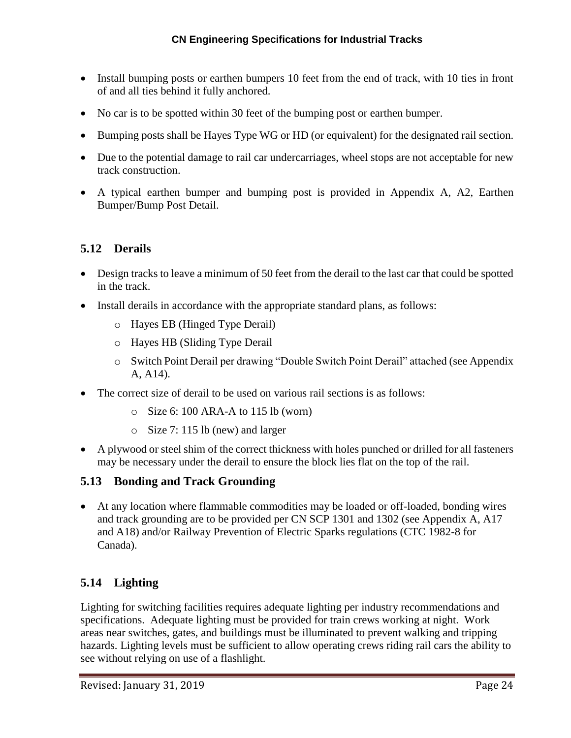- Install bumping posts or earthen bumpers 10 feet from the end of track, with 10 ties in front of and all ties behind it fully anchored.
- No car is to be spotted within 30 feet of the bumping post or earthen bumper.
- Bumping posts shall be Hayes Type WG or HD (or equivalent) for the designated rail section.
- Due to the potential damage to rail car undercarriages, wheel stops are not acceptable for new track construction.
- A typical earthen bumper and bumping post is provided in Appendix A, A2, Earthen Bumper/Bump Post Detail.

### <span id="page-27-0"></span>**5.12 Derails**

- Design tracks to leave a minimum of 50 feet from the derail to the last car that could be spotted in the track.
- Install derails in accordance with the appropriate standard plans, as follows:
	- o Hayes EB (Hinged Type Derail)
	- o Hayes HB (Sliding Type Derail
	- o Switch Point Derail per drawing "Double Switch Point Derail" attached (see Appendix A, A14).
- The correct size of derail to be used on various rail sections is as follows:
	- $\circ$  Size 6: 100 ARA-A to 115 lb (worn)
	- o Size 7: 115 lb (new) and larger
- A plywood or steel shim of the correct thickness with holes punched or drilled for all fasteners may be necessary under the derail to ensure the block lies flat on the top of the rail.

### <span id="page-27-1"></span>**5.13 Bonding and Track Grounding**

 At any location where flammable commodities may be loaded or off-loaded, bonding wires and track grounding are to be provided per CN SCP 1301 and 1302 (see Appendix A, A17 and A18) and/or Railway Prevention of Electric Sparks regulations (CTC 1982-8 for Canada).

### <span id="page-27-2"></span>**5.14 Lighting**

Lighting for switching facilities requires adequate lighting per industry recommendations and specifications. Adequate lighting must be provided for train crews working at night. Work areas near switches, gates, and buildings must be illuminated to prevent walking and tripping hazards. Lighting levels must be sufficient to allow operating crews riding rail cars the ability to see without relying on use of a flashlight.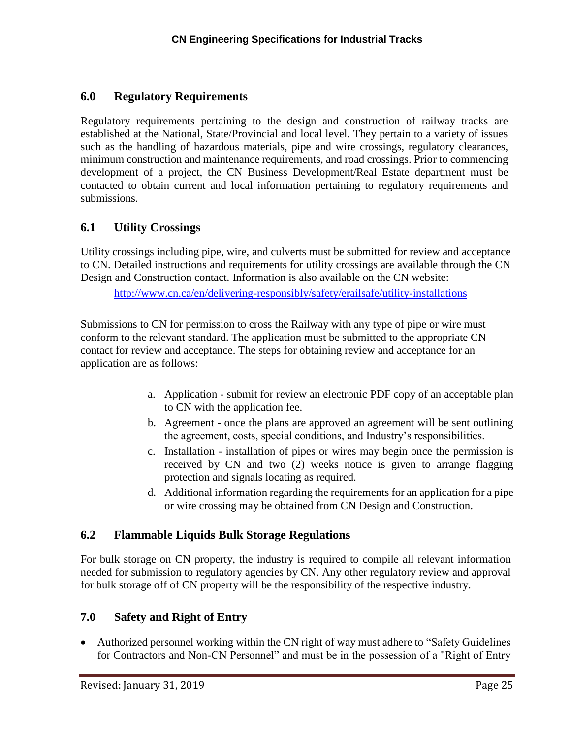### <span id="page-28-0"></span>**6.0 Regulatory Requirements**

Regulatory requirements pertaining to the design and construction of railway tracks are established at the National, State/Provincial and local level. They pertain to a variety of issues such as the handling of hazardous materials, pipe and wire crossings, regulatory clearances, minimum construction and maintenance requirements, and road crossings. Prior to commencing development of a project, the CN Business Development/Real Estate department must be contacted to obtain current and local information pertaining to regulatory requirements and submissions.

### <span id="page-28-1"></span>**6.1 Utility Crossings**

Utility crossings including pipe, wire, and culverts must be submitted for review and acceptance to CN. Detailed instructions and requirements for utility crossings are available through the CN Design and Construction contact. Information is also available on the CN website:

<http://www.cn.ca/en/delivering-responsibly/safety/erailsafe/utility-installations>

Submissions to CN for permission to cross the Railway with any type of pipe or wire must conform to the relevant standard. The application must be submitted to the appropriate CN contact for review and acceptance. The steps for obtaining review and acceptance for an application are as follows:

- a. Application submit for review an electronic PDF copy of an acceptable plan to CN with the application fee.
- b. Agreement once the plans are approved an agreement will be sent outlining the agreement, costs, special conditions, and Industry's responsibilities.
- c. Installation installation of pipes or wires may begin once the permission is received by CN and two (2) weeks notice is given to arrange flagging protection and signals locating as required.
- d. Additional information regarding the requirements for an application for a pipe or wire crossing may be obtained from CN Design and Construction.

### <span id="page-28-2"></span>**6.2 Flammable Liquids Bulk Storage Regulations**

For bulk storage on CN property, the industry is required to compile all relevant information needed for submission to regulatory agencies by CN. Any other regulatory review and approval for bulk storage off of CN property will be the responsibility of the respective industry.

### <span id="page-28-3"></span>**7.0 Safety and Right of Entry**

• Authorized personnel working within the CN right of way must adhere to "Safety Guidelines" for Contractors and Non-CN Personnel" and must be in the possession of a "Right of Entry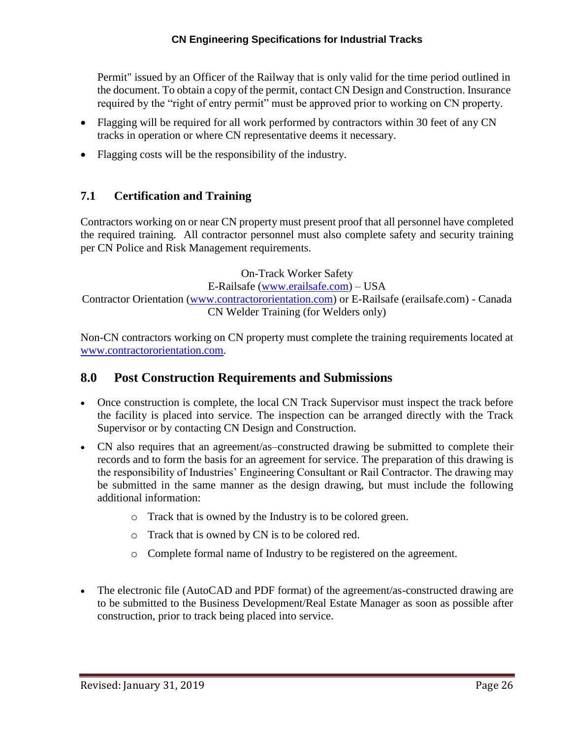Permit" issued by an Officer of the Railway that is only valid for the time period outlined in the document. To obtain a copy of the permit, contact CN Design and Construction. Insurance required by the "right of entry permit" must be approved prior to working on CN property.

- Flagging will be required for all work performed by contractors within 30 feet of any CN tracks in operation or where CN representative deems it necessary.
- Flagging costs will be the responsibility of the industry.

### <span id="page-29-0"></span>**7.1 Certification and Training**

Contractors working on or near CN property must present proof that all personnel have completed the required training. All contractor personnel must also complete safety and security training per CN Police and Risk Management requirements.

On-Track Worker Safety

E-Railsafe [\(www.erailsafe.com\)](http://www.erailsafe.com/) – USA

Contractor Orientation [\(www.contractororientation.com\)](http://www.contractororientation.com/) or E-Railsafe (erailsafe.com) - Canada CN Welder Training (for Welders only)

Non-CN contractors working on CN property must complete the training requirements located at [www.contractororientation.com.](http://www.contractororientation.com/)

### <span id="page-29-1"></span>**8.0 Post Construction Requirements and Submissions**

- Once construction is complete, the local CN Track Supervisor must inspect the track before the facility is placed into service. The inspection can be arranged directly with the Track Supervisor or by contacting CN Design and Construction.
- CN also requires that an agreement/as–constructed drawing be submitted to complete their records and to form the basis for an agreement for service. The preparation of this drawing is the responsibility of Industries' Engineering Consultant or Rail Contractor. The drawing may be submitted in the same manner as the design drawing, but must include the following additional information:
	- o Track that is owned by the Industry is to be colored green.
	- o Track that is owned by CN is to be colored red.
	- o Complete formal name of Industry to be registered on the agreement.
- The electronic file (AutoCAD and PDF format) of the agreement/as-constructed drawing are to be submitted to the Business Development/Real Estate Manager as soon as possible after construction, prior to track being placed into service.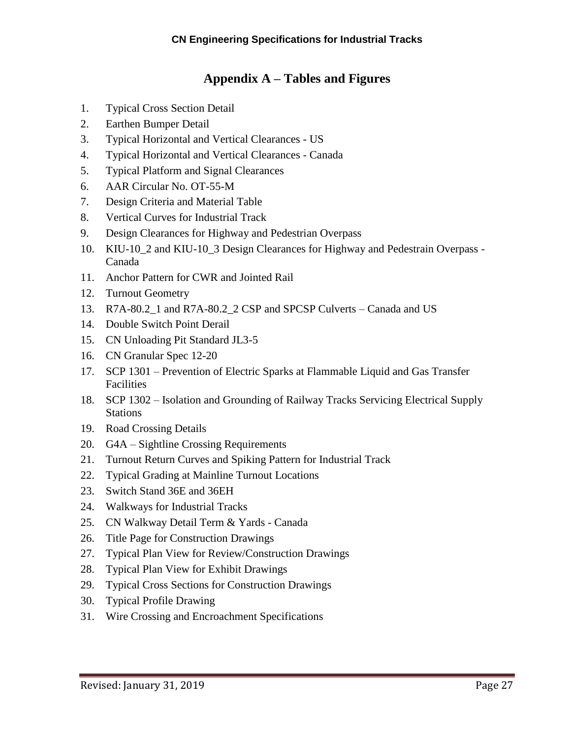# **Appendix A – Tables and Figures**

- <span id="page-30-0"></span>1. Typical Cross Section Detail
- 2. Earthen Bumper Detail
- 3. Typical Horizontal and Vertical Clearances US
- 4. Typical Horizontal and Vertical Clearances Canada
- 5. Typical Platform and Signal Clearances
- 6. AAR Circular No. OT-55-M
- 7. Design Criteria and Material Table
- 8. Vertical Curves for Industrial Track
- 9. Design Clearances for Highway and Pedestrian Overpass
- 10. KIU-10\_2 and KIU-10\_3 Design Clearances for Highway and Pedestrain Overpass Canada
- 11. Anchor Pattern for CWR and Jointed Rail
- 12. Turnout Geometry
- 13. R7A-80.2 1 and R7A-80.2 2 CSP and SPCSP Culverts Canada and US
- 14. Double Switch Point Derail
- 15. CN Unloading Pit Standard JL3-5
- 16. CN Granular Spec 12-20
- 17. SCP 1301 Prevention of Electric Sparks at Flammable Liquid and Gas Transfer Facilities
- 18. SCP 1302 Isolation and Grounding of Railway Tracks Servicing Electrical Supply Stations
- 19. Road Crossing Details
- 20. G4A Sightline Crossing Requirements
- 21. Turnout Return Curves and Spiking Pattern for Industrial Track
- 22. Typical Grading at Mainline Turnout Locations
- 23. Switch Stand 36E and 36EH
- 24. Walkways for Industrial Tracks
- 25. CN Walkway Detail Term & Yards Canada
- 26. Title Page for Construction Drawings
- 27. Typical Plan View for Review/Construction Drawings
- 28. Typical Plan View for Exhibit Drawings
- 29. Typical Cross Sections for Construction Drawings
- 30. Typical Profile Drawing
- 31. Wire Crossing and Encroachment Specifications